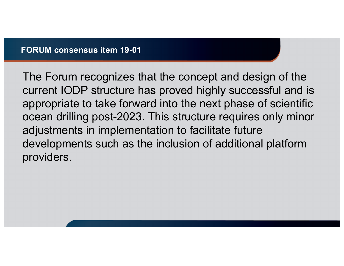The Forum recognizes that the concept and design of the current IODP structure has proved highly successful and is appropriate to take forward into the next phase of scientific ocean drilling post-2023. This structure requires only minor adjustments in implementation to facilitate future developments such as the inclusion of additional platform providers.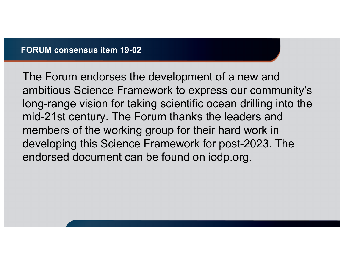The Forum endorses the development of a new and ambitious Science Framework to express our community's long-range vision for taking scientific ocean drilling into the mid-21st century. The Forum thanks the leaders and members of the working group for their hard work in developing this Science Framework for post-2023. The endorsed document can be found on iodp.org.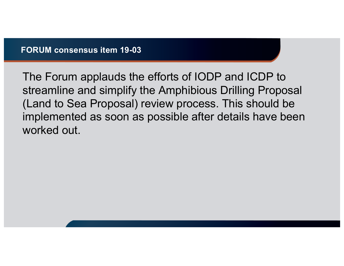The Forum applauds the efforts of IODP and ICDP to streamline and simplify the Amphibious Drilling Proposal (Land to Sea Proposal) review process. This should be implemented as soon as possible after details have been worked out.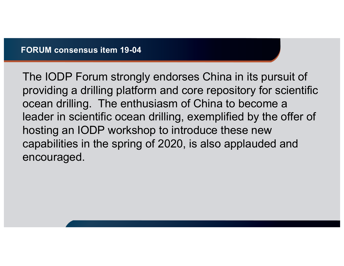The IODP Forum strongly endorses China in its pursuit of providing a drilling platform and core repository for scientific ocean drilling. The enthusiasm of China to become a leader in scientific ocean drilling, exemplified by the offer of hosting an IODP workshop to introduce these new capabilities in the spring of 2020, is also applauded and encouraged.